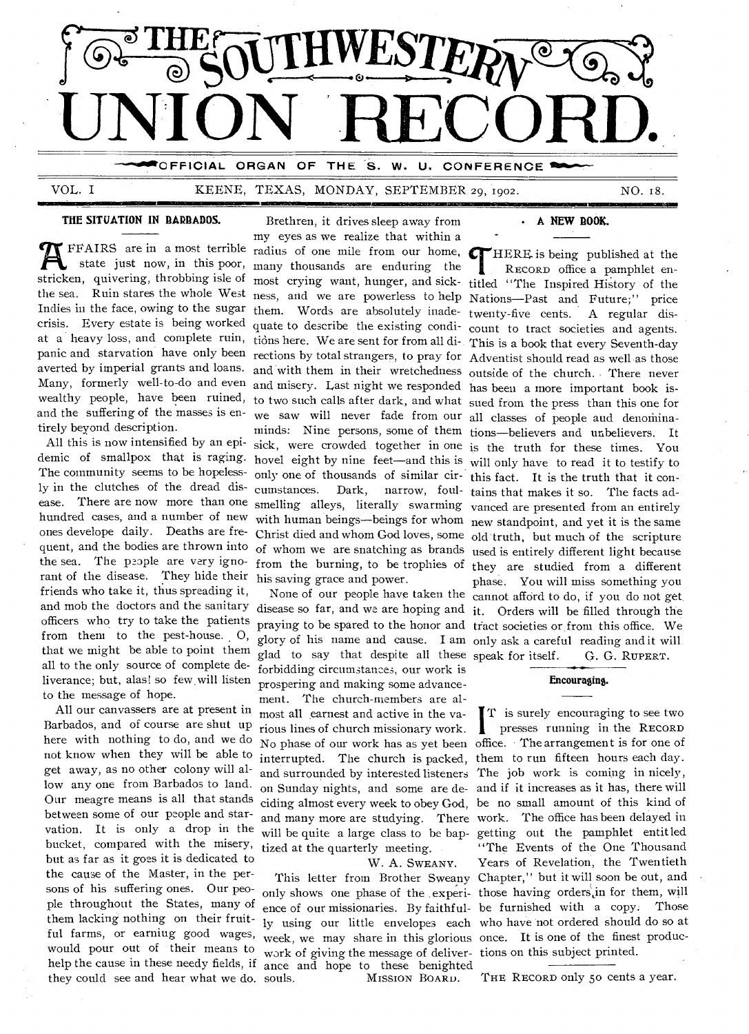

VOL. I KEENE, TEXAS, MONDAY, SEPTEMBER 29, 1902. NO. 18.

Mal

### **THE SITUATION IN BARBADOS.** Brethren, it drives sleep away from

THE FEAIRS are in a most terrible radius of one mile from our home,<br>state just now, in this poor, many thousands are enduring the<br>stricken, quivering, throbbing isle of most crying want, hunger, and sickthe sea. Ruin stares the whole West ness, and we are powerless to help Nations—Past and Future;" price Indies in the face, owing to the sugar them. Words are absolutely inade-Indies in the face, owing to the sugar them. Words are absolutely inade- twenty-five cents. A regular dis-<br>crisis. Every estate is being worked quate to describe the existing condi- count to tract societies and agents at a heavy loss, and complete ruin, tions here. We are sent for from all di-This is a book that every Seventh-day panic and starvation have only been rections by total strangers, to pray for Adventist should read as well as those Many, formerly well-to-do and even and misery. Last night we responded has been a more important book isand the suffering of the masses is en- we saw will never fade from our all classes of people and denominaaverted by imperial grants and loans. tirely beyond description.

The community seems to be hopeless- only one of thousands of similar cir-<br>this fact. It is the truth that it conrant of the disease. They hide their his saving grace and power. that we might be able to point them all to the only source of complete de- forbidding circumstances, our work is ly in the clutches of the dread disfriends who take it, thus spreading it,

All our canvassers are at present in  $\frac{1}{2}$  most all earnest and active in the va-<br>Barbados, and of course are shut up rious lines of church missionary work Barbados, and of course are shut up rious lines of church missionary work.<br>here with nothing to do, and we do  $N_Q$  phase of our work has as yet been here with nothing to do, and we do N<sub>o</sub> phase of our work has as yet been not know when they will be able to interrupted. The church is packed, them to run fifteen hours each day. get away, as no other colony will al- and surrounded by interested listeners The job work is coming in nicely, low any one from Barbados to land. on Sunday nights, and some are de- and if it increases as it has, there will Our meagre means is all that stands ciding almost every week to obey God, be no small amount of this kind of between some of our people and star- and many more are studying. There work. The office has been delayed in vation. It is only a drop in the will be quite a large class to be bap-getting out the pamphlet entitled bucket, compared with the misery, tized at the quarterly meeting. but as far as it goes it is dedicated to W. A. SWEANY.<br>the cause of the Master, in the per-<br>This letter from Brother Sweet the cause of the Master, in the per- This letter from Brother Sweany Chapter," but it will soon be out, and sons of his suffering ones. Our peohelp the cause in these needy fields, if ance and hope to these benighted they could see and hear what we do. souls. MISSION BOARD.

my eyes as we realize that within a FFAIRS are in a most terrible radius of one mile from our home, state just now, in this poor, many thousands are enduring the cumstances. Dark, narrow, foul-tains that makes it so. The facts ad-

liverance; but, alas! so few will listen prospering and making some advance-<br>to the message of hope. the message of hope.<br>All our canvassers are at present in  $\frac{m}{10}$  mest all earnest and active in the value glad to say that despite all these speak for itself. G. G. RUPERT.

them lacking nothing on their fruit-<br>
iy using our little envelopes each who have not ordered should do so at ful farms, or earniug good wages, week, we may share in this glorious once. It is one of the finest producwould pour out of their means to work of giving the message of deliver-tions on this subject printed. only shows one phase of the experi- those having orders, in for them, will

#### **NEW BOOK.**

and with them in their wretchedness outside of the church. There never wealthy people, have been ruined, to two such calls after dark, and what sued from the press than this one for minds: Nine persons, some of them tions—believers and unbelievers. It All this is now intensified by an epi-sick, were crowded together in one is the truth for these times. You demic of smallpox that is raging. hovel eight by nine feet—and this is will only have to read it to testify to ease. There are now more than one smelling alleys, literally swarming vanced are presented from an entirely hundred cases, and a number of new with human beings—beings for whom new standpoint, and yet it is the same ones develope daily. Deaths are fre- Christ died and whom God loves, some old truth, but much of the scripture quent, and the bodies are thrown into of whom we are snatching as brands used is entirely different light because the sea. The people are very igno- from the burning, to be trophies of they are studied from a different None of our people have taken the cannot afford to do, if you do not get and mob the doctors and the sanitary disease so far, and we are hoping and it. Orders will be filled through the officers who try to take the patients praying to be spared to the honor and tract societies or from this office. We from them to the pest-house. 0, glory of his name and cause. I am only ask a careful reading and it will **THERE** is being published at the<br>
RECORD office a pamphlet en-<br>
titled "The Inspired History of the HERE. **is** being published at the RECORD office a pamphlet encount to tract societies and agents. phase. You will miss something you

#### **Encouraging.**

ple throughout the States, many of ence of our missionaries. By faithful-be furnished with a copy. Those  $\prod_{\infty}$  $\mathbf{T}$  is surely encouraging to see two presses running in the RECORD office. The arrangement is for one of "The Events of the One Thousand Years of Revelation, the Twentieth

THE RECORD only 50 cents a year.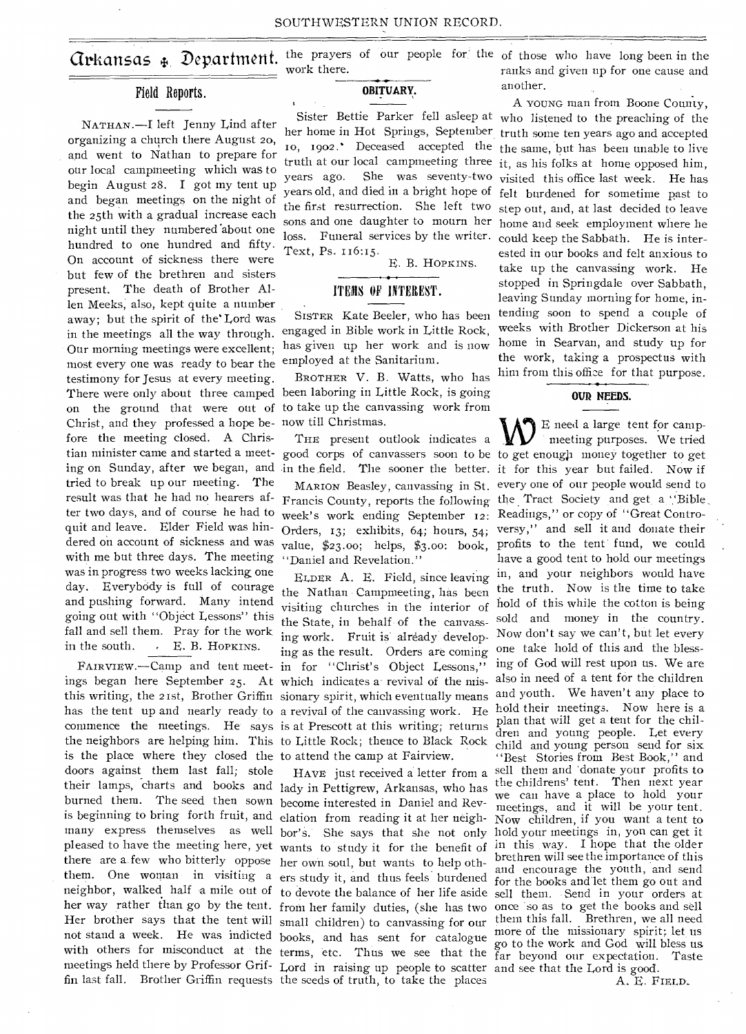# Field Reports.

NATHAN.—I left Jenny Lind after organizing a church there August 20, and went to Nathan to prepare for our local campmeeting which was to begin August 28. I got my tent up and began meetings on the night of the 25th with a gradual increase each night until they numbered 'about one hundred to one hundred and fifty. On account of sickness there were but few of the brethren and sisters present. The death of Brother Allen Meeks; also, kept quite a number away; but the spirit of the' Lord was in the meetings all the way through. Our morning meetings were excellent; has given up her work and is now most every one was ready to bear the testimony for Jesus at every meeting. Christ, and they professed a hope be-now till Christmas. fore the meeting closed. A Christian minister came and started a meettried to break up our meeting. The result was that he had no hearers after two days, and of course he had to quit and leave. Elder Field was hinwith me but three days. The meeting was in progress two weeks lacking one day. Everybody is full of courage and pushing forward. Many intend going out with "Object Lessons" this fall and sell them. Pray for the work in the south. . E. B. HOPKINS.

is beginning to bring forth fruit, and elation from reading it at her neigh- Now children, if you want a tent to many express themselves as well bor's. She says that she not only hold your meetings in, you can get it pleased to have the meeting here, yet wants to study it for the benefit of in this way. I hope that the older them. One woman in visiting a ers study it, and thus feels burdened for the books and let them go out and neighbor, walked half a mile out of to devote the balance of her life aside sell them. Send in your orders at her way rather than go by the tent. from her family duties, (she has two once so as to get the books and sell Her brother says that the tent will small children) to canvassing for our them this fall. Brethren, we all need not stand a week. He was indicted books, and has sent for catalogue more of the missionary spirit; let us<br>with others for misconduct at the transporter (New Sent for catalogue go to the work and God will bless us with others for misconduct at the terms, etc. Thus we see that the far beyond our expectation. Taste meetings held there by Professor Grif- Lord in raising up people to scatter and see that the Lord is good. ings began here September 25. At which indicates a revival of the misthis writing, the 21st, Brother Griffin sionary spirit, which eventually means has the tent up and nearly ready to a revival of the canvassing work. He commence the meetings. He says is at Prescott at this writing; returns the neighbors are helping him. This to Little Rock; thence to Black Rock is the place where they closed the to attend the camp at Fairview. doors against them last fall; stole their lamps, charts and books and lady in Pettigrew, Arkansas, who has burned them. The seed then sown become interested in Daniel and Revthere are a few who bitterly oppose her own soul, but wants to help othfin last fall. Brother Griffin requests the seeds of truth, to take the places

work there.

### **OBITUARY.**

years old, and died in a bright hope of the first resurrection. She left two loss. Funeral services by the writer. Text, Ps. 116:15.

E. B. HOPKINS.

# ITEMS OF INTEREST.

SISTER Kate Beeler, who has been engaged in Bible work in Little Rock, employed at the Sanitarium.

There were only about three camped been laboring in Little Rock, is going on the ground that were out of to take up the canvassing work from BROTHER V. B. Watts, who has

THE present outlook indicates a

week's work ending September 12: Readings," or copy of "Great Contro-"Daniel and Revelation."

FAIRVIEW.—Camp and tent meet- in for "Christ's Object Lessons," ELDER A. E. Field, since leaving the Nathan Campmeeting, has been visiting churches in the interior of the State, in behalf of the canvassing work. Fruit is already developing as the result. Orders are coming

HAVE just received a letter from a

**Crkansas**  $\oint$  **Department.** the prayers of our people for the of those who have long been in the ranks and given up for one cause and another.

> Sister Bettie Parker fell asleep at who listened to the preaching of the her home in Hot Springs, September truth some ten years ago and accepted 10, 1902. Deceased accepted the the same, but has been unable to live truth at our local campmeeting three it, as his folks at home opposed him, years ago. She was seventy-two visited this office last week. He has sons and one daughter to mourn her home and seek employment where he A YOUNG man from Boone County, felt burdened for sometime past to step out, and, at last decided to leave could keep the Sabbath. He is interested in our books and felt anxious to take up the canvassing work. He stopped in Springdale over Sabbath, leaving Sunday morning for home, intending soon to spend a couple of weeks with Brother Dickerson at his home in Searvan, and study up for the work, taking a prospectus with him from this office for that purpose.

#### **OUR NEEDS.**

E need a large tent for campmeeting purposes. We tried good corps of canvassers soon to be to get enough money together to get ing on Sunday, after we began, and in the field. The sooner the better. it for this year but failed. Now if MARION Beasley, canvassing in St. every one of our people would send to Francis County, reports the following the Tract Society and get a 'Bible Orders, 13; exhibits,  $64$ ; hours,  $54$ ; versy," and sell it and donate their dered on account of sickness and was value,  $\frac{6}{23}$ .00; helps,  $\frac{6}{3}$ .00: book, profits to the tent fund, we could have a good tent to hold our meetings in, and your neighbors would have the truth. Now is the time to take hold of this while the cotton is being sold and money in the country. Now don't say we can't, but let every one take hold of this and the blessing of God will rest upon us. We are also in need of a tent for the children and youth. We haven't any place to hold their meetings. Now here is a plan that will get a tent for the children and young people. Let every child and young person send for six "Best Stories from Best Book," and sell them and 'donate your profits to the childrens' tent. Then next year we can have a place to hold your meetings, and it will be your tent. brethren will see the importance of this and encourage the youth, and send more of the missionary spirit; let us

A. E. FIELD.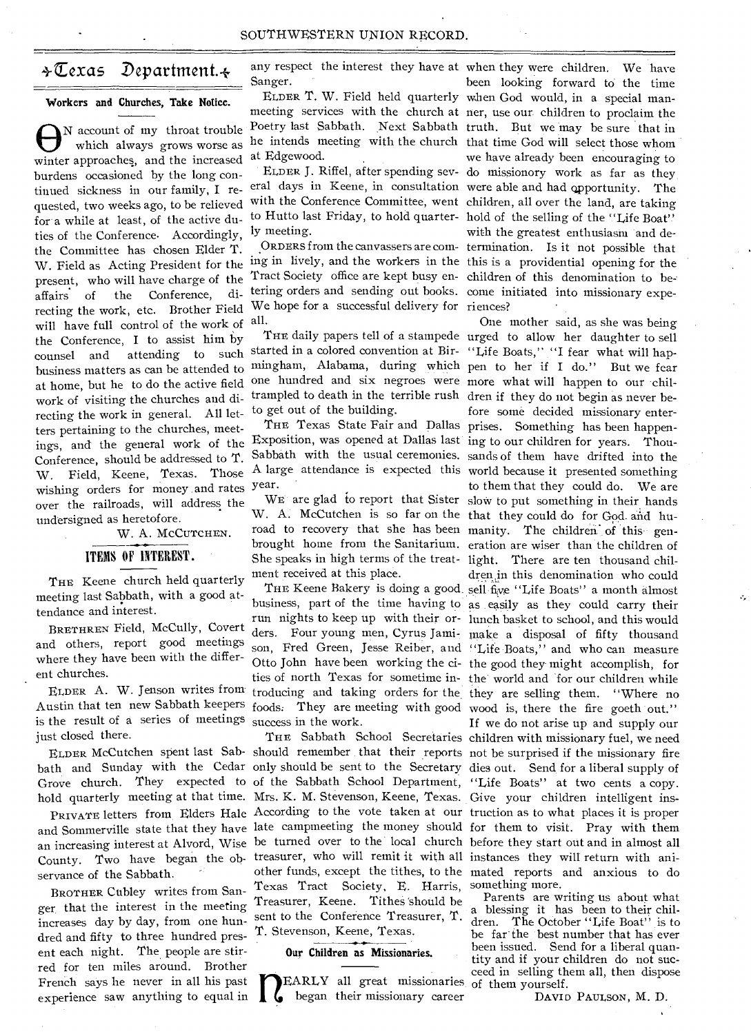# $\div \overline{\mathbb{C}}$ exas Department. $\div$

#### Workers and Churches, Take Notice.

 $\bigoplus$ <sup>N</sup> account of my throat trouble<br>which always grows worse as<br>winter approaches, and the increased N account of my throat trouble which always grows worse as burdens occasioned by the long continued sickness in our family, I re-eral days in Keene, in consultation were able and had qpportunity. The quested, two weeks ago, to be relieved for a while at least, of the active duties of the Conference. Accordingly, the Committee has chosen Elder T. W. Field as Acting President for the ing in lively, and the workers in the this is a providential opening for the present, who will have charge of the affairs of the Conference, directing the work, etc. Brother Field will have full control of the work of the Conference, I to assist him by counsel and attending to such started in a colored convention at Bir- "Life Boats," "I fear what will hapbusiness matters as can be attended to at home, but he to do the active field work of visiting the churches and directing the work in general. All letters pertaining to the churches, meetings, and the general work of the Exposition, was opened at Dallas last ing to our children for years. Thou-Conference, should be addressed to T. W. Field, Keene, Texas. Those wishing orders for money and rates over the railroads, will address the undersigned as heretofore.

W. A. MCCUTCHEN.

# ITEMS OF INTEREST.

THE Keene church held quarterly meeting last Sabbath, with a good attendance and interest.

BRETHREN Field, McCully, Covert and others, report good meetings where they have been with the different churches.

ELDER A. W. Jenson writes from Austin that ten new Sabbath keepers is the result of a series of meetings just closed there.

bath and Sunday with the Cedar only should be sent to the Secretary dies out. Send for a liberal supply of

County. Two have began the ob-treasurer, who will remit it with all instances they will return with aniservance of the Sabbath.

BROTHER Ctibley writes from Sanger that the interest in the meeting increases day by day, from one hundred and fifty to three hundred present each night. The people are stirred for ten miles around. Brother French says he never in all his past experience saw anything to equal in

any respect the interest they have at when they were children. We have Sanger.

meeting services with the church at ner, use our children to proclaim the Poetry last Sabbath. Next Sabbath truth. But we may be sure that in he intends meeting with the church that time God will select those whom at Edgewood.

ly meeting.

Tract Society office are kept busy en-children of this denomination to betering orders and sending out books. come initiated into missionary expe-We hope for a successful delivery for riences? all.

mingham, Alabama, during which pen to her if I do." But we fear one hundred and six negroes were more what will happen to our chiltrampled to death in the terrible rush dren if they do not begin as never beto get out of the building.

year.

W. A. McCutchen is so far on the that they could do for God and huroad to recovery that she has been manity. The children of this gen-She speaks in high terms of the treat-light. There are ten thousand chilment received at this place.

foods. They are meeting with good wood is, there the fire goeth out." success in the work.

Texas Tract Society, E. Harris, something more. Treasurer, Keene. Tithes 'should be sent to the Conference Treasurer, T. dren The October "Life Boat" is to T. Stevenson, Keene, Texas.

## Our Children as Missionaries.

 $\mathbf{1}$ EARLY all great missionaries of them yourself. began their missionary career

ELDER T. W. Field held quarterly when God would, in a special man-ELDER J. Riffel, after spending sev-do missionory work as far as they with the Conference Committee, went children, all over the land, are taking to Hutto last Friday, to hold quarter- hold of the selling of the "Life Boat" ORDERS from the canvassers are com-termination. Is it not possible that been looking forward to the time we have already been encouraging to with the greatest enthusiasm and de-

THE daily papers tell of a stampede urged to allow her daughter to sell THE Texas State Fair and Dallas prises. Something has been happen-Sabbath with the usual ceremonies. sands of them have drifted into the A large attendance is expected this world because it presented something WE are glad to report that Sister slow to put something in their hands brought home from the Sanitarium. eration are wiser than the children of THE Keene Bakery is doing a good sell five "Life Boats" a month almost business, part of the time having to as easily as they could carry their run nights to keep up with their or-lunch basket to school, and this would ders. Four young men, Cyrus Jami-make a disposal of fifty thousand son, Fred Green, Jesse Reiber, and "Life Boats," and who can measure Otto John have been working the ci-the good they might accomplish, for ties of north Texas for sometime in-the world and for our children while troducing and taking orders for the they are selling them. "Where no One mother said, as she was being fore some decided missionary enterto them that they could do. We are dren in this denomination who could

ELDER McCutchen spent last Sab-should remember that their reports not be surprised if the missionary fire Grove church. They expected to of the Sabbath School Department, "Life Boats" at two cents a copy. hold quarterly meeting at that time. Mrs. K. M. Stevenson, Keene, Texas. Give your children intelligent ins-PRIVATE letters from Elders Hale According to the vote taken at our truction as to what places it is proper and Sommerville state that they have late campmeeting the money should for them to visit. Pray with them an increasing interest at Alvord, Wise be turned over to the local church before they start out and in almost all THE Sabbath School Secretaries children with missionary fuel, we need other funds, except the tithes, to the mated reports and anxious to do If we do not arise up and supply our

Parents are writing us about what dren. The October "Life Boat" is to be far the best number that has ever been issued. Send for a liberal quantity and if your children do not succeed in selling them all, then dispose

DAVID PAULSON, M. D.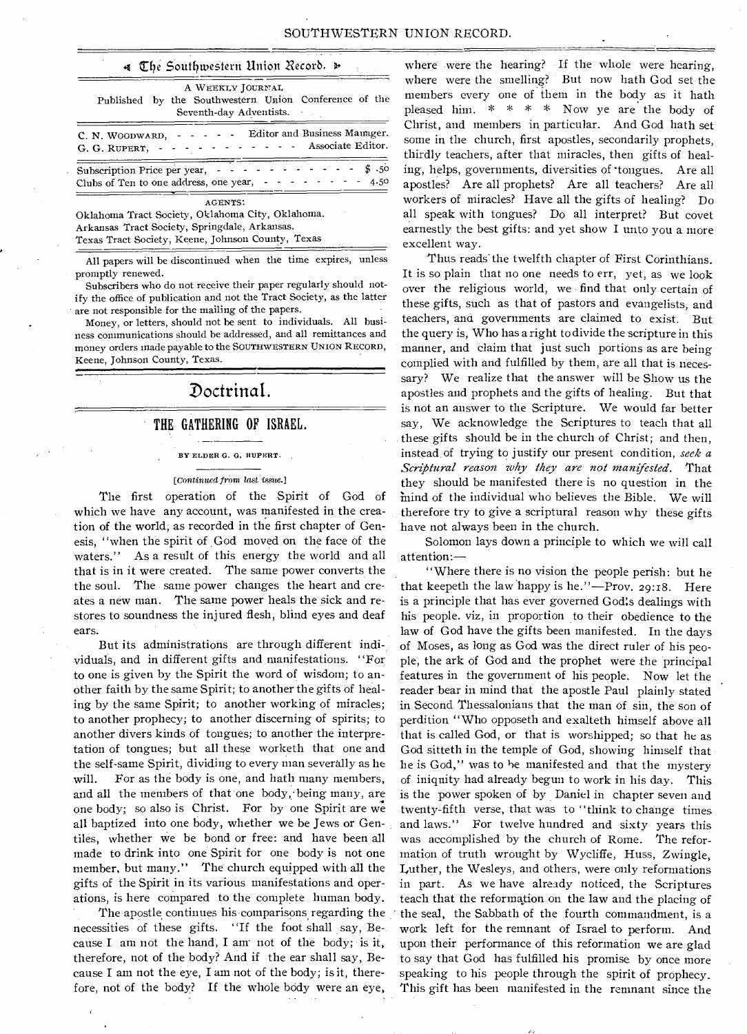### 4 The Southwestern Union Record.

| A WEEKLY JOURNAL<br>Published by the Southwestern Union Conference of the<br>Seventh-day Adventists.                                                                     |
|--------------------------------------------------------------------------------------------------------------------------------------------------------------------------|
| Editor and Business Manager.<br><b>Contract Contract Contract</b><br>C. N. WOODWARD, -<br>Associate Editor.<br>$\sim$ $\sim$ $\sim$ $\sim$<br>G. G. RUPERT,              |
| \$.50<br>منام المناسب المناسب<br>Subscription Price per year, -<br>Clubs of Ten to one address, one year, - - - - - - - - -<br>4.50                                      |
| <b>AGENTS:</b><br>Oklahoma Tract Society, Oklahoma City, Oklahoma.<br>Arkansas Tract Society, Springdale, Arkansas.<br>Texas Tract Society, Keene, Johnson County, Texas |

All papers will be discontinued when the time expires, unless promptly renewed.

Subscribers who do not receive their paper regularly should notify the office of publication and not the Tract Society, as the latter are not responsible for the mailing of the papers.

Money, or letters, should not be sent to individuals. All business communications should be addressed, and all remittances and money orders made payable to the SOUTHWESTERN UNION RECORD, Keene, Johnson County, Texas.

# Doctrinal.

## THE GATHERING OF ISRAEL.

#### BY ELDER G. G. RUPERT.

#### *[Continued from last issue.]*

The first operation of the Spirit of God of which we have any account, was manifested in the creation of the world, as recorded in the first chapter of Genesis, "when the spirit of God moved on the face of the waters." As a result of this energy the world and all that is in it were created. The same power converts the the soul. The same power changes the heart and creates a new man. The same power heals the sick and restores to soundness the injured flesh, blind eyes and deaf ears.

But its administrations are through different individuals, and in different gifts and manifestations. "For to one is given by the Spirit the word of wisdom; to another faith by the same Spirit; to another the gifts of healing by the same Spirit; to another working of miracles; to another prophecy; to another discerning of spirits; to another divers kinds of tongues; to another the interpretation of tongues; but all these worketh that one and the self-same Spirit, dividing to every man severally as he will. For as the body is one, and hath many members, and all the members of that one body, being many, are one body; so also is Christ. For by one Spirit are we all baptized into one body, whether we be Jews or Gentiles, whether we be bond or free: and have been all made to drink into one Spirit for one body is not one member, but many." The church equipped with all the gifts of the Spirit in its various manifestations and operations, is here compared to the complete human body.

The apostle continues his comparisons regarding the necessities of these gifts. "If the foot shall say, Because I am not the hand, I anr not of the body; is it, therefore, not of the body? And if the ear shall say, Because I am not the eye, I am not of the body; is it, therefore, not of the body? If the whole body were an eye,

where were the hearing? If the whole were hearing, where were the smelling? But now hath God set the members every one of them in the body as it bath pleased him. \* \* \* \* Now ye are the body of Christ, and members in particular. And God hath set some in the church, first apostles, secondarily prophets, thirdly teachers, after that miracles, then gifts of healing, helps, governments, diversities of tongues. Are all apostles? Are all prophets? Are all teachers? Are all workers of miracles? Have all the gifts of healing? Do all speak with tongues? Do all interpret? But covet earnestly the best gifts: and yet show I unto you a more excellent way.

Thus reads' the twelfth chapter of First Corinthians. It is so plain that no one needs to err, yet, as we look over the religious world, we find that only certain of these gifts, such as that of pastors and evangelists, and teachers, and governments are claimed to exist. But the query is, Who has a right to divide the scripture in this manner, and claim that just such portions as are being complied with and fulfilled by them, are all that is necessary? We realize that the answer will be Show us the apostles and prophets and the gifts of healing. But that is not an answer to the Scripture. We would far better say, We acknowledge the Scriptures to teach that all . these gifts should be in the church of Christ; and then, instead, of trying to justify our present condition, *seek a Scriptural reason why they are not manifested.* That they should be manifested there is no question in the mind of the individual who believes the Bible. We will therefore try to give a scriptural reason why these gifts have not always been in the church.

Solomon lays down a principle to which we will call attention:—

"Where there is no vision the people perish: but he that keepeth the law happy is he."—Prov. 29:18. Here is a principle that has ever governed God's dealings with his people. viz, in proportion to their obedience to the law of God have the gifts been manifested. In the days of Moses, as long as God was the direct ruler of his people, the ark of God and the prophet were the principal features in the government of his people. Now let the reader bear in mind that the apostle Paul plainly stated in Second Thessalonians that the man of sin, the son of perdition "Who opposeth and exalteth himself above all that is called God, or that is worshipped; so that he as God sitteth in the temple of God, showing himself that he is God," was to he manifested and that the mystery of iniquity had already begun to work in his day. This is the power spoken of by Daniel in chapter seven and twenty-fifth verse, that was to "think to change times and laws." For twelve hundred and sixty years this was accomplished by the church of Rome. The reformation of truth wrought by Wycliffe, Huss, Zwingle, Luther, the Wesleys, and others, were only reformations in part. As we have already noticed, the Scriptures teach that the reformation on the law and the placing of the seal, the Sabbath of the fourth commandment, is a work left for the remnant of Israel to perform. And upon their performance of this reformation we are glad to say that God has fulfilled his promise by once more speaking to his people through the spirit of prophecy. This gift has been manifested in the remnant since the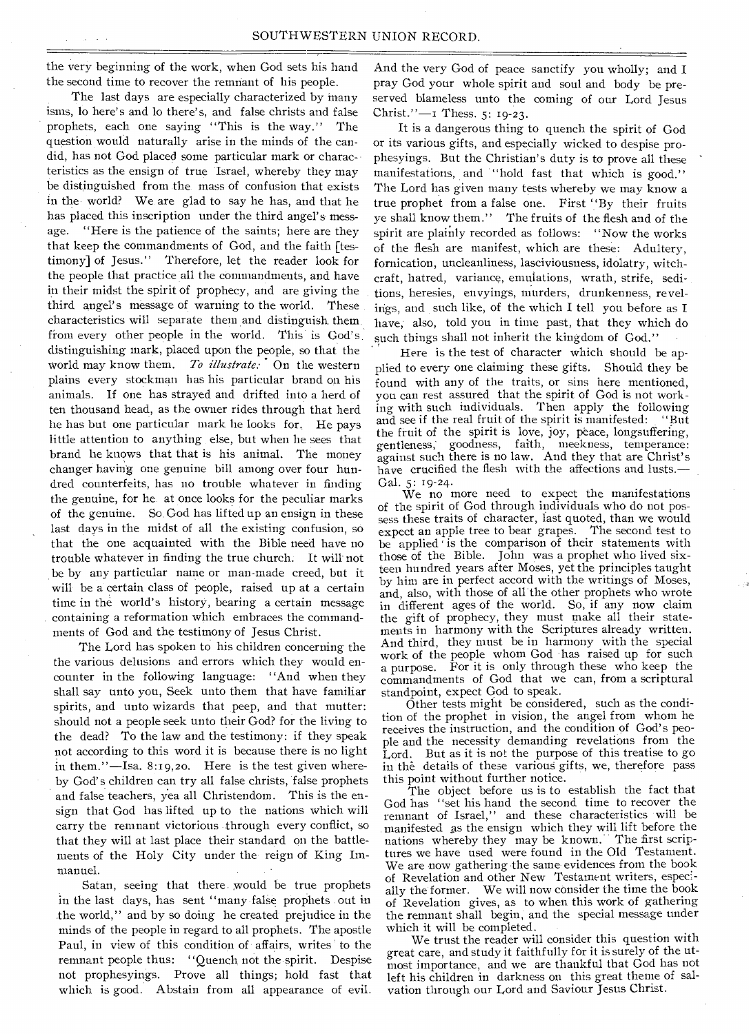the very beginning of the work, when God sets his hand And the very God of peace sanctify you wholly; and I

isms, lo here's and lo there's, and false christs and false Christ." $-1$  Thess. 5: 19-23. prophets, each one saying "This is the way." The It is a dangerous thing to quench the spirit of God question would naturally arise in the minds of the can- or its various gifts, and especially wicked to despise proquestion would naturally arise in the minds of the can- or its various gifts, and especially wicked to despise pro-<br>did, has not God placed some particular mark or charac- phesyings. But the Christian's duty is to prove al teristics as the ensign of true Israel, whereby they may manifestations, and "hold fast that which is good." be distinguished from the mass of confusion that exists The Lord has given many tests whereby we may know a in the world? We are glad to say he has, and that he true prophet from a false one. First "By their fruits has placed this inscription under the third angel's mess- ve shall know them." The fruits of the flesh and of the age. "Here is the patience of the saints; here are they spirit are plainly recorded as follows: "Now the works that keep the commandments of God, and the faith [tes-<br>timony] of Jesus." Therefore, let the reader look for fornication uncleanliness lasciviousness idolatry witchtimony] of Jesus." Therefore, let the reader look for fornication, uncleanliness, lasciviousness, idolatry, witch-<br>the people that practice all the commandments, and have craft hatted, variance, emulations, wrath strife, s in their midst the spirit of prophecy, and are giving the tions, heresies, envyings, murders, drunkenness, revelthird angel's message of warning to the world. These ings, and such like, of the which I tell you before as I characteristics will separate them and distinguish them have, also, told you in time past, that they which do<br>from every other people in the world. This is God's such things shall not inherit the kingdom of God." distinguishing mark, placed upon the people, so that the ' Here is the test of character which should be apworld may know them. *To illustrate*: On the western plied to every one claiming these gifts. Should they be plains every stockman has his particular brand on his found with any of the traits or sins here mentioned plains every stockman has his particular brand on his found with any of the traits, or sins here mentioned, animals. If one has strayed and drifted into a herd of you can rest assured that the spirit of God is not workten thousand head, as the owner rides through that herd ing with such individuals. Then apply the following he has but one particular mark he looks for. He pays and see if the real fruit of the spirit is manifested: "But It is love, joy, peace, longsuffering,<br>little attention to anything else, but when he sees that gentleness, goodness, faith, meekness, temperance:<br>brand he knows that that is his animal. The money against such there is no brand he knows that that is his animal. The money against such there is no law. And they that are Christ's changer having one genuine bill among over four hun-<br>have crucified the flesh with the affections and lusts. dred counterfeits, has no trouble whatever in finding Gal. 5: 19-24.<br>We no more need to expect the manifestations the genuine, for he at once looks for the peculiar marks we no more need to expect the manifestations of the spirit of God through individuals who do not posof the genuine, so he at shee to she for the peculiar matric of the spirit of God through individuals who do not pos-<br>sess these traits of character, last quoted, than we would last days in the midst of all the existing confusion, so expect an apple tree to bear grapes. The second test to that the one acquainted with the Bible need have no be applied is the comparison of their statements with trouble whatever in finding the true church. It will' not those of the Bible. John was a prophet who lived sixbe by any particular name or man-made creed, but it teen hundred years after Moses, yet the principles taught<br>will be electric alocs of poorls, reject and the principle in the principles of Moses, will be a certain class of people, raised up at a certain by him are in perfect accord with the writings of Moses,<br>and, also, with those of all the other prophets who wrote<br>time in the world's history, bearing a certain me containing a reformation which embraces the command- the gift of prophecy, they must make all their statements of God and the testimony of Jesus Christ. meats in harmony with the Scriptures already written.

the various delusions and errors which they would en-<br>the various whom God has raised up for such the people whom God has raised up for such<br>the various delusions and errors which they would encounter in the following language: "And when they commandments of God that we shall say unto you, Seek unto them that have familiar standpoint, expect God to speak. shall say unto you, Seek unto them that have familiar standpoint, expect God to speak. spirits, and unto wizards that peep, and that mutter: Other tests might be considered, such as the condi-<br>chould not a people seek unto their Code for the living to the prophet in vision, the angel from whom he should not a people seek unto their God? for the living to the prophet in vision, the angel from whom he the dead? To the law and the testimony: if they speak not according to this word it is because there is no light Lord. But as it is not the purpose of this treatise to go in them."—Isa. 8:19,20. Here is the test given where- in the details of these various gifts, we, therefore pass by God's children can try all false christs, false prophets this point without further notice.<br>The object before us is to establish the fact that and false teachers, yea all Christendom. This is the en-<br>The object before us is to establish the fact that<br>It God has "set his hand the second time to recover the sign that God has lifted up to the nations which will<br>remnant of Israel," and these characteristics will be<br>carry the remnant victorious through every conflict, so<br>manifested as the ensign which they will lift before the carry the remnant victorious through every conflict, so that they will at last place their standard on the battle- nations whereby they may be known.' The first scripments of the Holy City under the reign of King Im- tures we have used were found in the Old Testament. manuel. The same evidences from the book we are now gathering the same evidences from the book

in the last days, has sent "many false prophets out in of Revelation gives, as to when this work of gathering the world," and by so doing he created prejudice in the the remnant shall begin, and the special message under<br>minds of the people in regard to all prophets. The apostle which it will be completed. minds of the people in regard to all prophets. The apostle Paul, in view of this condition of affairs, writes to the We trust the reader will consider this question with<br>remnant people thus: "Quench not the spirit. Despise most importance and we are thankful that God has not not prophesyings. Prove all things; hold fast that left his children in darkness on this great theme of salwhich is good. Abstain from all appearance of evil. vation through our Lord and Saviour Jesus Christ.

the second time to recover the remnant of his people. pray God your whole spirit and soul and body be pre-<br>The last days are especially characterized by many served blameless unto the coming of our Lord Jesus served blameless unto the coming of our Lord Jesus

> phesyings. But the Christian's duty is to prove all these ye shall know them." The fruits of the flesh and of the craft, hatred, variance, emulations, wrath, strife, sedisuch things shall not inherit the kingdom of God."

> you can rest assured that the spirit of God is not workhave crucified the flesh with the affections and lusts.-

in different ages of the world. So, if any now claim The Lord has spoken to his children concerning the And third, they must be in harmony with the special a purpose. For it is only through these who keep the commandments of God that we can, from a scriptural

ple and the necessity demanding revelations from the

der.<br>Satan, seeing that there would be true prophets of Revelation and other New Testament writers, especi-<br>staten, seeing that there would be true prophets of Revelation and other New consider the time the book ally the former. We will now consider the time the book

> great care, and study it faithfully for it is surely of the utmost importance, and we are thankful that God has not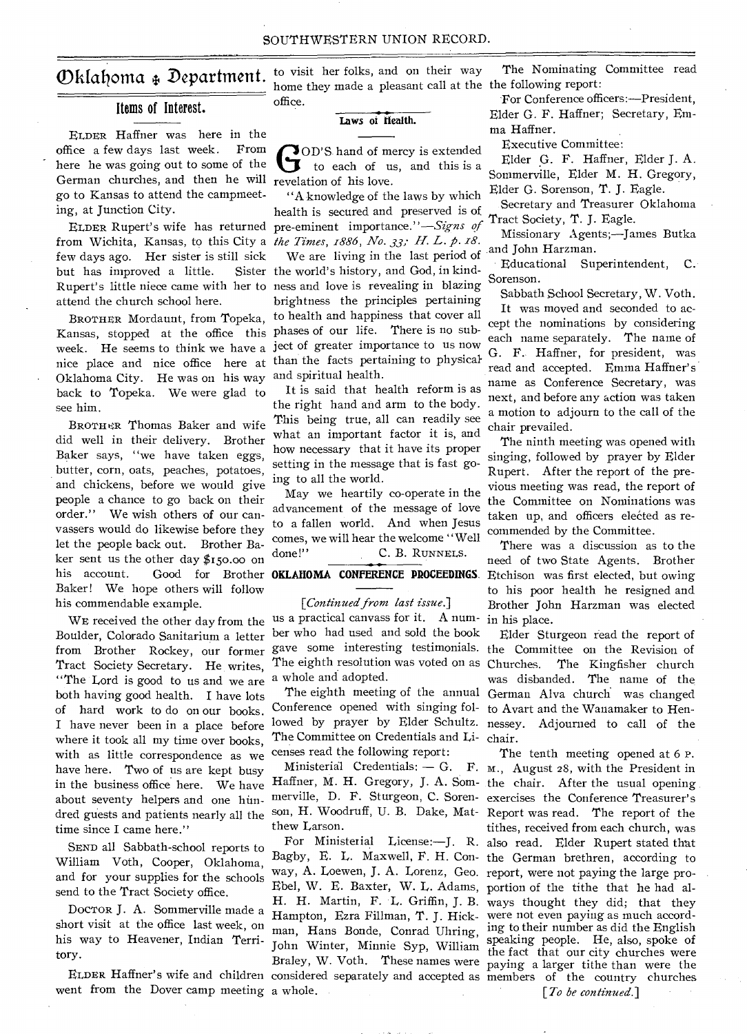# Items of Interest.

ELDER Haffner was here in the office a few days last week. From here he was going out to some of the German churches, and then he will revelation of his love. go to Kansas to attend the campmeeting, at Junction City.

few days ago. Her sister is still sick but has improved a little. attend the church school here.

BROTHER Mordaunt, from Topeka, Kansas, stopped at the office this phases of our life. There is no subweek. He seems to think we have a ject of greater importance to us now nice place and nice office here at than the facts pertaining to physical-Oklahoma City. He was on his way and spiritual health. back to Topeka. We were glad to see him.

BROTHER Thomas Baker and wife did well in their delivery. Brother Baker says, "we have taken eggs, butter, corn, oats, peaches, potatoes, and chickens, before we would give people a chance to go back on their order." We wish others of our canvassers would do likewise before they let the people back out. Brother Baker sent us the other day  $$150.00$  on his account. Good for Brother **OKLAHOMA CONFERENCE PROCEEDINGS**. Baker! We hope others will follow his commendable example.

WE received the other day from the Boulder, Colorado Sanitarium a letter from Brother Rockey, our former Tract Society Secretary. He writes, "The Lord is good to us and we are both having good health. I have lots of hard work to do on our books. I have never been in a place before where it took all my time over books, with as little correspondence as we have here. Two of us are kept busy in the business office here. We have about seventy helpers and one hundred guests and patients nearly all the time since I came here."

SEND all Sabbath-school reports to William Voth, Cooper, Oklahoma, and for your supplies for the schools send to the Tract Society office.

DOCTOR J. A. Sommerville made a short visit at the office last week, on his way to Heavener, Indian Territory.

went from the Dover camp meeting a whole.

 $\mathbf{D}\text{kl}$ ahoma  $\ast$  Department. to visit her folks, and on their way home they made a pleasant call at the the following report: office.

#### **Laws of Health.**

**G**OD'S hand of mercy is extended<br>to each of us, and this is a **OD'S** hand of mercy is extended

ELDER Rupert's wife has returned pre-eminent importance."—Signs *of*  from Wichita, Kansas, to this City a *the Times, 1886, No. 33; H. L. p. 18.* Rupert's little niece came with her to ness and love is revealing in blazing "A knowledge of the laws by which health is secured and preserved is of We are living in the last period of and John Harzman. Sister the world's history, and God, in kindbrightness the principles pertaining to health and happiness that cover all

> It is said that health reform is as the right hand and arm to the body. This being true, all can readily see what an important factor it is, and how necessary that it have its proper setting in the message that is fast going to all the world.

May we heartily co-operate in the advancement of the message of love to a fallen world. And when Jesus comes, we will hear the welcome "Well done!" C. B. RUNNELS.

*[Continued from last issue.]*  us a practical canvass for it. A number who had used and sold the book gave some interesting testimonials. The eighth resolution was voted on as a whole and adopted.

Conference opened with singing fol- to Avart and the Wanamaker to Hen-The Committee on Credentials and Li-chair. censes read the following report:

thew Larson.

Ebel, W. E. Baxter, W. L. Adams, portion of the tithe that he had al-Hampton, Ezra Fillman, T. J. Hick-were not even paying as much accord-

The Nominating Committee read

For Conference officers:—President, Elder G. F. Haffner; Secretary, Emma Haffner.

Executive Committee:

Elder G. F. Haffner, Elder J. A. Sommerville, Elder M. H. Gregory, Elder G. Sorenson, T. J. Eagle.

Secretary and Treasurer Oklahoma Tract Society, T. J. Eagle.

Missionary Agents;—James Butka

Educational Superintendent, C. Sorenson.

Sabbath School Secretary, W. Voth.

It was moved and seconded to accept the nominations by considering each name separately. The name of G. F. Haffner, for president, was read and accepted. Emma Haffner's name as Conference Secretary, was next, and before any action was taken a motion to adjourn to the call of the chair prevailed.

The ninth meeting was opened with singing, followed by prayer by Elder Rupert. After the report of the previous meeting was read, the report of the Committee on Nominations was taken up, and officers elected as recommended by the Committee.

There was a discussion as to the need of two State Agents. Brother Etchison was first elected, but owing to his poor health he resigned and Brother John Harzman was elected in his place.

The eighth meeting of the annual German Alva church was changed lowed by prayer by Elder Schultz. nessey. Adjourned to call of the Elder Sturgeon read the report of the Committee on the Revision of Churches. The Kingfisher church was disbanded. The name of the

ELDER Haffner's wife and children considered separately and accepted as members of the country churches Ministerial Credentials: - G. F. M., August 28, with the President in Haffner, M. H. Gregory, J. A. Som-the chair. After the usual opening merville, D. F. Sturgeon, C. Soren-exercises the Conference Treasurer's son, H. Woodruff, U. B. Dake, Mat-Report was read. The report of the For Ministerial License:—J. R. also read. Elder Rupert stated that Bagby, E. L. Maxwell, F. H. Con-the German brethren, according to way, A. Loewen, J. A. Lorenz, Geo. report, were not paying the large pro-H. H. Martin, F. L. Griffin, J. B. ways thought they did; that they man, Hans Bonde, Conrad Uhring, ing to their number as did the English John Winter, Minnie Syp, William speaking people. He, also, spoke of Braley, W. Voth. These names were paying a larger tithe than were the The tenth meeting opened at 6 P. tithes, received from each church, was the fact that our city churches were

*[To be continued.]*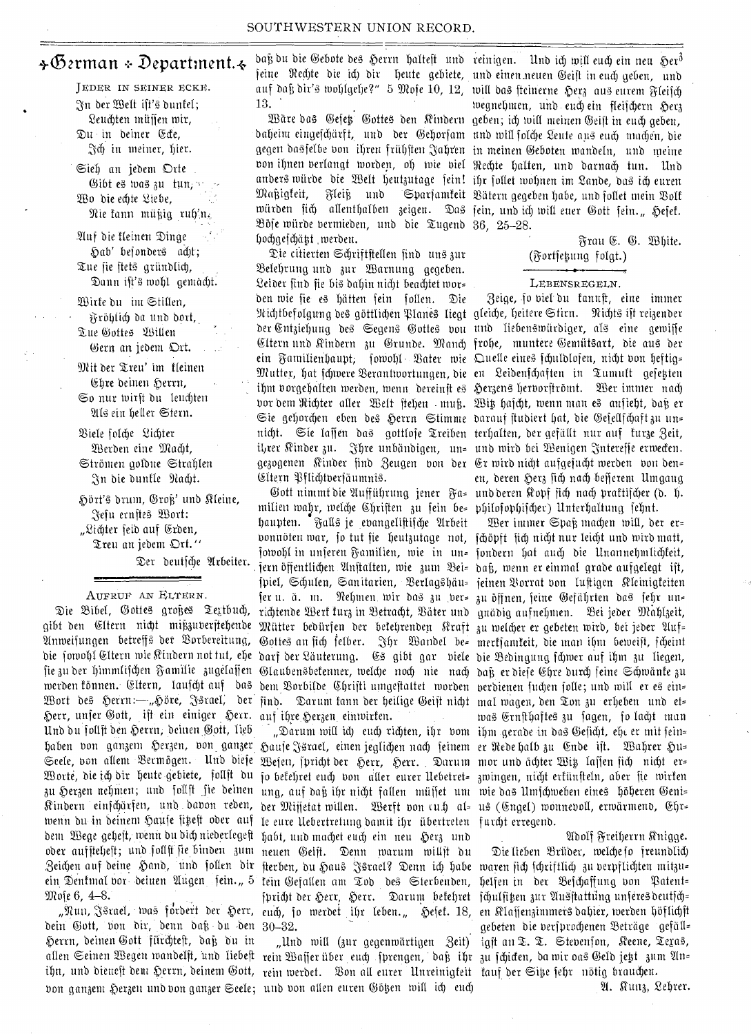# +German + Department. $\div$

JEDER IN SEINER ECKE. n bet Sett ift'b buntet; Leuchten müssen wir, in beiner &te, et) in meiner, bier.

Sieh an jedem Orte Gibt es was zu tun, v Wo die echte Liebe,  $\mathfrak{Re}$  fann müßig ruh'n.

.%itf bie tleinen Zinge Dab' bejonber4 debt; Tue sie stets gründlich, Dann ist's wohl gemacht.

Wirte du im Stillen, fyrObtid) ba limb bort,. Tue Gottes Willen Gern an jedem Ort.

ber Zten' tm tteinen Ehre deinen Herrn, So nur toirft bu fettebten <sup>5</sup>21t6 ein better Stern.

Ziefe Piety 2iebtet Werden eine Macht, Stromen goibue Strablen In die dunkle Nacht.

Hört's drum, Groß' und Kleine, ,`;5'efu ernfteb Batt: "Lichter feid auf Erden, Treu an jedem Ort."

Der deutsche Arbeiter.

## AUFRUE AN ELTERN.

Anweisungen betreffs der Vorbereitung, fie zu der himmlifchen Familie zugelassen merden tönnen. Eltern, laufcht auf das Wort des Herrn:--,,Höre, Jsrael, der Derr, unfer 6ott, ift ein einiger Derr. Unb bu totift ben Derrn, beinen watt, fieb baben von ganzem Herzen, von ganzer Seele, von allem Vermögen. Und diese Worte, die ich dir heute gebiete, follft du Mote 6, 4-8.

bein Gott, von dir, denn daß du den 30–32. Herrn, deinen Gott fürchteft, daß du in ""Und will (zur gegenwärtigen Zeit) allen Seinen Wegen wandelft, und liebeft rein Waffer über euch fprengen, daß ihr zu fchicen, da wir oas Geld jett zum An= ihn, und dienest dem Herrn, deinem Gott, rein werdet. Von all eurer Unreinigteit tauf der Site fehr nötig brauchen. bon ganzem Herzen und bon ganzer Seele; und von allen euren Götzen will ich euch Sam Sammen M. Kunz, Lehrer.

daß du die Gebote des Herrn halteft und reinigen. Und ich will euch ein neu Her $^3$ jeine Ned)te die ich dir heute gebiete, und einen neuen Geift in euch geben, und auf daß dir's wohlgehe?" $\,$  5 Mofe  $10, \, 12, \,$  will das fteinerne Herz aus eurem Fleifch 13.

baheim eingefchärft, und der Gehorfam und will folche Leute aus euch machen, die gegen dasfelbe von ihren frühften Jahren in meinen Geboten wandeln, und meine ton ibnen beriangt morben, of) mit bid Neebte batten, unb bctrnad) tun. Unb anders würde die Welt heutzutage fein! ihr follet wohnen im Lande, das ich euren Maßigfeit, Fleiß und Sparfamfeit Bätern gegeben habe, und follet mein Bolf würden fich allenthalben zeigen. Das fein, und ich will euer Gott fein.,, Hefet. 83Ofe miirbe bertnieben, unb bie Zugenb 36, 25-28. hochgefchätzt werden.

Die citierten Schriftstellen find uns zur Belehrung und zur Warnung gegeben. 2eiber finb fie bib babin nid)t beaditet mar= ben mie fie eb batten fein Ken. Zie Kichtbefolgung des göttlichen Planes liegt gleiche, heitere Stirn. Nichts ift reizender der Entziehung des Segens Gottes von und liebenswürdiger, als eine gewiffe Eltern und Rindern zu Grunde. Manch frohe, muntere Gemütsart, die aus der ein aantifienbanht; forbobt • . Oder mie Z.Itetle eitt0 febitibloten, nicbt bon beftig. Wutter, hat fchwere Berantwortungen, die en Leidenfchaften in Tumult gefetten . ihm borgehalten werden, wenn dereinft es Herzens herborftrömt. Ber immer nach bor bem Richter aller Welt ftehen muß. Wit hafcht, wenn man es aufieht, daß er Sie gehorchen eben des Herrn Stimme darauf ftudiert hat, die Gefellfchaftzu un= nicht. Sie laffen das gottloje Treiben terhalten, der gefällt nur auf turze Zeit, il,rer Kinder zu. Jhre unbändigen, un= und wird bei Wenigen Jntereffe erwecten. gezogenen Kinder find Zeugen von der Erwirdnicht aufgefucht werden von den= Cltern Pflichtversäumnis.

8ibel, Gottes großes Textbuch, richtende Wert turz in Betracht, Bäter und gnädig aufnehmen. Bei jeder Mahlzeit, gibt den Eltern nicht mißzuverftehende Mütter bedürfen der betehrenden Rraft zu welcher er gebeten wird, bei jeder die fowohl Eltern wie Rindern not tut, ehe darf der Läuterung. Es gibt gar viele die Bedingung fchwer auf ihm zu liegen, Gott ninimt bie Wuffribrung jener nub beren Rohf fief) nail) Vrattifd)et (b. milien wahr, welche Chriften zu fein be= philofophifcher) Unterhaltung fehnt. haupten. Falls je evangelistifdje Arbeit bonnöten war, fo tut fie heutzutage not, fchöpft fich nicht nur leicht und wird matt, jowohl in unferen Familien, wie in un= fondern hat auch die Unannehmlichteit, fern Offentlidyn Wnftatten, mie mum baf3, menn er einmul grebe aufgelegt ift, Thief, Sebuten, Sanitatien, 9.3ertagbeim: jeinen \$orrat bon fuftigen iteinigteiten fer u. ä. m. Rehmen wir das zu ber= zu öffnen, seine Gefährten das sehr un= Gottes an fich felber. Ihr Wandel be= mertjamteit, die man ihm beweist, fcheint Glaubensbetenner, welche noch nie nach daß er diese Ehre durch seine Schwänte zu bem Borbilde Chrifti umgestaltet worden verdienen suchen solle; und will er es ein= find. Darum tann der heilige Geift nicht mal wagen, den Ton zu erheben und et= auf ihre Herzen einwirken. **Eine einführen. Sowie was Ernfthaftes** zu fagen, fo lacht man

zu Herzen nehmen; und follft fie deinen ung, auf daß ihr nicht fallen müffet unt wie das Umfchweben eines höheren Kindern einfchärfen, und davon reden, der Mijfetat willen. Werft von cu.h al= us (Engel) wonnevoll, erwärmend, wenn du in deinem Haufe fikeft oder auf 1e eure Uebertretung damit ihr übertreten furcht erregend. bent Wege geheft, wenn du dich niederlegeft habt, und machet euch ein neu Herz und **Moll-Areif waren der Streiferrn Knigge.** oder auffteljeft; und follft fie binden zum neuen Geift. Denn warum willft du Die lieben Brüder, welche fo freundlich Zeichen auf deine Hand, und sollen dir sterben, du Haus Jsrael? Denn ich habe waren sich fchriftlich zu verpflichten mitzu= ein Zentinat box beitten Wugen fein." 5 tent Wefatien am Zob beb Sterbenben, belfen in her .3efcbaffung bon Tatent,- "Nun, Jsrael, was fordert der Herr, <sub>euch,</sub> jo werdet ihr leben." Hefel. 18, en Klaffenzimmersdahier, werden höflichft Hause Jsrael, einen jeglichen nach feinem er Rede halb zu Ende ist. Wahrer Hu= Wejen, spricht der Herr, Herr. Darum mor und ächter Witz lassen fich nicht er= fa betebret cud) ban titter cuter Ilebetret= mtuingen, niebt ertiinfteln, abet fie mitten fpricht der Herr, Herr. Darum betehret fchulfitzen zur Ausstattung unferes deutsch=

Sate bab 6ef0-Ootteil ben Rinbern geben; id) miff meinen Oeift in end) geben, wegnehmen, und euch ein fleischern Herz

> Frau E. G. White. (Fortfetung folgt.)

## • LEBENSREGELN.

3eige, to bief bu nft, eine tinnier en, deren Herz sich nach besserem Umgang

Wer immer Spaß machen will, der er= "Darum will id) eud) richten, ihr bom ihm gerade in das Geficht, ehe er mit fein=

gebeten die berfprochenen Beträge gefäll=<br>igft an T. T. Stebenfon, Reene, Tegas,